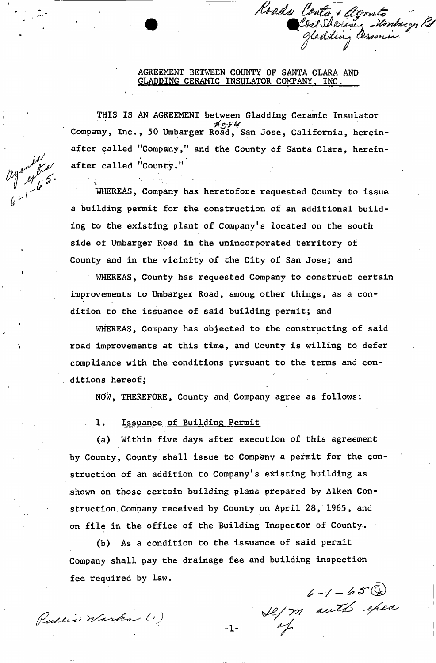#### AGREEMENT BETWEEN COUNTY OF SANTA CLARA AND GLADDING CERAMIC INSULATOR COMPANY, INC,

Roads Conta & Agonto

THIS IS AN AGREEMENT between Gladding Ceramic Insulator Company, Inc., 50 Umbarger Road, San Jose, California, hereinafter called "Company," and the County of Santa Clara, hereinafter called "County."

WHEREAS, Company has heretofore requested County to issue a building permit for the construction of an additional building to the existing plant of Company's located on the south side of Umbarger Road in the unincorporated territory of County and in the vicinity of the City of San Jose; and

WHEREAS, County has requested Company to construct certain improvements to Umbarger Road, among other things, as a condition to the issuance of said building permit; and

WHEREAS, Company has objected to the constructing of said road improvements at this time, and County is willing to defer compliance with the conditions pursuant to the terms and conditions hereof;

NOW, THEREFORE, County and Company agree as follows:

1. Issuance of Building Permit

(a) Within five days after execution of this agreement by County, County shall issue to Company a perait for the construction of an addition to Company's existing building as shown on those certain building plans prepared by Aiken Construction Company received by County on April 28, 1965, and on file in the office of the Building Inspector of County.

(b) As a condition to the issuance of said permit Company shall pay the drainage fee and building inspection fee required by law.

Public Warks (1)

agent fra,

6-1-65 (m)<br>Le/m auth efec

 $-1-$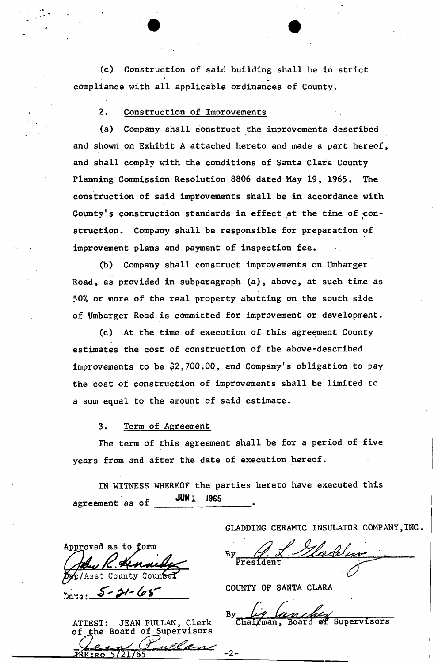(c) Construction of said building shall be in strict compliance with all applicable ordinances of County.

2. Construction of Improvements

(a) Company shall construct the improvements described and shown on Exhibit A attached hereto and made a part hereof, and shall comply with the conditions of Santa Clara County Planning Commission Resolution 8806 dated May 19, 1965. The construction of said improvements shall be in accordance with County's construction standards in effect at the time of construction. Company shall be responsible for preparation of improvement plans and payment of inspection fee.

(b) Company shall construct improvements on Umbarger Road, as provided in subparagraph (a), above, at such time as 50% or more of the real property abutting on the south side of Umbarger Road is committed for improvement or development.

(c) At the time of execution of this agreement County estimates the cost of construction of the above-described improvements to be \$2,700.00, and Company's obligation to pay the cost of construction of improvements shall be limited to a sum equal to the amount of said estimate.

3. Term of Agreement

 $5 - 21 - 68$ 

ST: JEAN PULLAN, Clerk<br>he Board of Supervisors

Approved as to form

p/Asst County

**ATTEST:** 

The term of this agreement shall be for a period of five years from and after the date of execution hereof.

IN WITNESS WHEREOF the parties hereto have executed this agreement as of **JUN1 1965** 

-2-

GLADDING CERAMIC INSULATOR COMPANY,INC.

COUNTY OF SANTA CLARA

Bу <u>nch</u><br>Board Chairman, Supervisors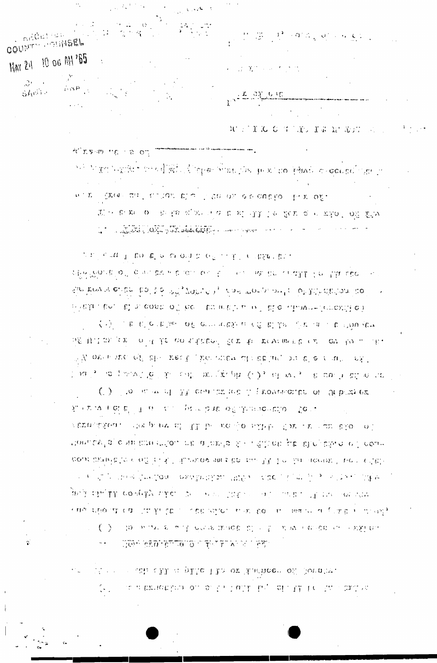Meter to ashed II at plate 12.3 or interneet of Sovolve.  $\langle \cdot, \cdot \rangle$  , as a transition on order to turk the claim to the transition

### GON CLOTETION OF THIRD OF FAIL

抗国的な ( di b' T a , c ) - pain bab of Jinnaehblo - fer. . vernation. The post if the real of all the term of the company rtomlavia e militar strtou se a tarsa di li statice pe di epale e i com cour brinkle to modification theorem and be building for the second face modifica-(4) 新闻的 医白细胞 的复数的复数 化分散电子 化硫酸盐 化乙酸乙酸 医阿尔伯氏试验检尿 医腹部的 医腹部的 gala kaliku poepsi saka. On men taalen lolu luba itu ne ee var nima spolintik milijon trijet o in pristjeni mjest po i milima su milijon pilinji utj  $\langle \cdot \rangle$  , to be as a sub-deck made by e.g. when each existing

くう しゅじん せいい of environment of electronic or in the Pow  $\tilde{\phi} \mathcal{E}(U,1,0),\ \tilde{\phi}(\tilde{x})=\phi^{-1}(U,\tilde{k}\mathcal{E})$  can altitude for the recent metric of the control in . For  $\mathbb{P}^n$  over and  $\mathbb{P}^n$  and  $\mathbb{P}^n$  are the order of substitution of  $\mathbb{P}^n$  or  $\mathbb{P}^n$  $\mathbb{P}(\mathcal{M}^{\mathcal{G}}_{\mathcal{M}}) = \mathcal{O}(\mathcal{M}^{\mathcal{G}}_{\mathcal{M}} \mathcal{O}_{\mathcal{M}}) \oplus \mathcal{O}(\mathcal{M}^{\mathcal{G}}_{\mathcal{M}}) \oplus \mathcal{O}(\mathcal{M}^{\mathcal{G}}_{\mathcal{M}}) \oplus \mathcal{O}(\mathcal{M}^{\mathcal{G}}_{\mathcal{M}}) \oplus \mathcal{O}(\mathcal{M}^{\mathcal{G}}_{\mathcal{M}}) \oplus \mathcal{O}(\mathcal{M}^{\mathcal{G}}_{\mathcal{M}}) \oplus$ (b) the nature of 33 contains see it proven calce of Orbitz ex-

 $\varphi(x) \wedge_{\mathcal{C}} \pi_0(x) \wedge \mathbb{P}^1 \wedge \mathbb{E}(\alpha) \wedge \mathbb{E}^1(\alpha) \wedge \mathbb{E}(\alpha) \wedge \mathbb{E}(\alpha) \wedge \mathbb{E}^2 \wedge \mathbb{E}^1(x) \wedge \mathbb{E}^1 \wedge \mathbb{E}(\alpha) \wedge \mathbb{E}^1(x)$ says request of discussing a compact for the next and concept of entity used the side treving ender that the infly value of influence and law the latitudination into in a subtinuities. If a cost of be therefore  $\alpha$  is declinated displaced the  $\alpha$ 

 $\sigma$  , respectively, and all the results of the condition in respectively.  $\mathfrak{L}^{\mathbb{C}}_1 \otimes \mathfrak{L}^{\mathbb{C}}_1 \otimes \mathfrak{L}^{\mathbb{C}}_1 \otimes \mathfrak{L}^{\mathbb{C}}_2 \otimes \mathfrak{L}^{\mathbb{C}}_1 \otimes \mathfrak{L}^{\mathbb{C}}_1 \otimes \mathfrak{L}^{\mathbb{C}}_2 \otimes \mathfrak{L}^{\mathbb{C}}_1 \otimes \mathfrak{L}^{\mathbb{C}}_1 \otimes \mathfrak{L}^{\mathbb{C}}_2 \otimes \mathfrak{L}^{\mathbb{C}}_2 \otimes \mathfrak{L}^{\mathbb$ La Constitution of the South of the Common of the Common and the Common of the Common and the Common of the Common Section 1989

 $\mathcal{G}_{\mathcal{C}}(L^2(\mathbb{R}^d)) \otimes_{\mathcal{C}} \mathcal{C}(\mathbb{R}^d) \otimes_{\mathcal{C}} \mathcal{O}_{\mathbb{R}^d}(\mathbb{R}^d)$ what my happer the different forms the great complexed or gouge in

MAY 24 10 06 MY 165  $\mathcal{F}$  $\mathcal{L}^{\star}$  $\log P$ SANT -

nedel ser

**COLINTY ASSIMBEL** 

O.

**CALLAGE** 

 $\label{eq:1.1} \begin{array}{ll} \mathcal{V}^{\prime} \circ \mathcal{Z}^{\prime} = \mathcal{V}^{\prime} \circ \Phi^{\prime} \mathcal{Z}_{\infty} \circ \Phi^{\prime} \circ \phi^{\prime} \in \mathcal{L}^{\prime} \end{array}$ はすいしゃ たさな

MAND C SATURA MAYORE